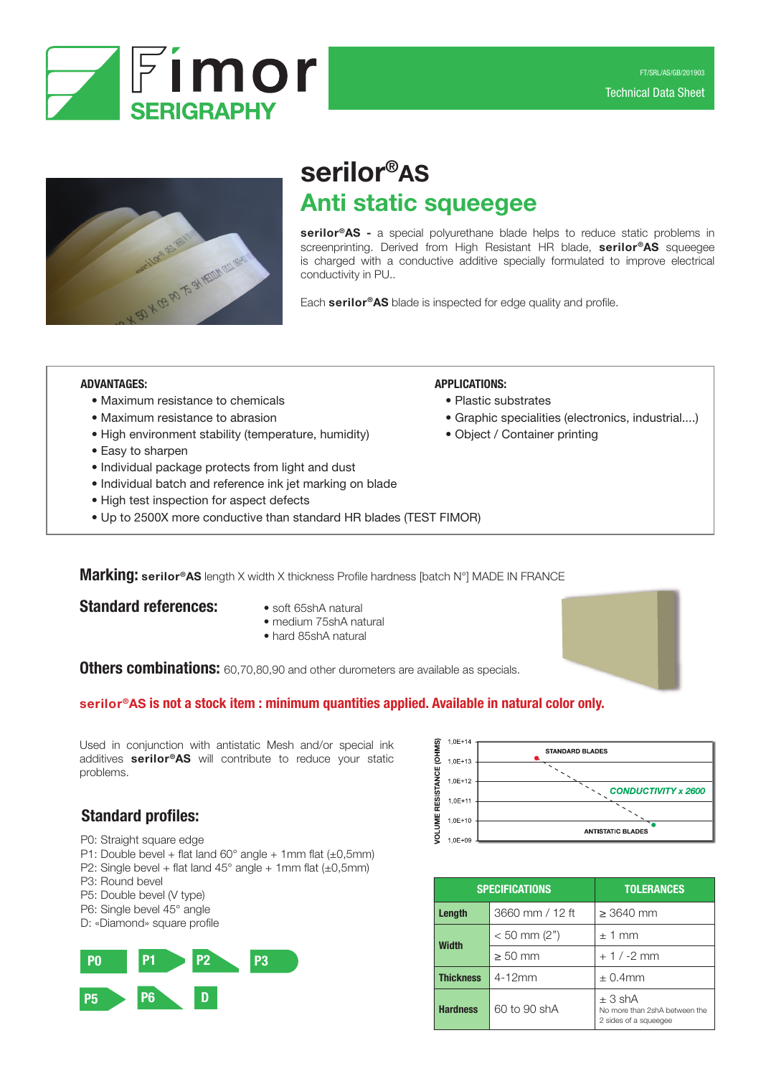



# serilor®AS Anti static squeegee

serilor®AS - a special polyurethane blade helps to reduce static problems in screenprinting. Derived from High Resistant HR blade, serilor®AS squeegee is charged with a conductive additive specially formulated to improve electrical conductivity in PU..

Each serilor<sup>®</sup>AS blade is inspected for edge quality and profile.

APPLICATIONS:

• Plastic substrates

• Object / Container printing

#### ADVANTAGES:

- Maximum resistance to chemicals
- Maximum resistance to abrasion
- High environment stability (temperature, humidity)
- Easy to sharpen
- Individual package protects from light and dust
- Individual batch and reference ink jet marking on blade
- High test inspection for aspect defects
- Up to 2500X more conductive than standard HR blades (TEST FIMOR)

Marking: serilor®AS length X width X thickness Profile hardness [batch N°] MADE IN FRANCE

#### **Standard references:** • soft 65shA natural

- 
- medium 75shA natural
- hard 85shA natural

Others combinations: 60,70,80,90 and other durometers are available as specials.

### serilor®AS is not a stock item : minimum quantities applied. Available in natural color only.

Used in conjunction with antistatic Mesh and/or special ink additives serilor®AS will contribute to reduce your static problems.



• Graphic specialities (electronics, industrial....)

# Standard profiles:

- P0: Straight square edge
- P1: Double bevel + flat land  $60^{\circ}$  angle + 1mm flat ( $\pm 0.5$ mm)
- P2: Single bevel + flat land  $45^{\circ}$  angle + 1mm flat ( $\pm 0.5$ mm)
- P3: Round bevel
- P5: Double bevel (V type)
- P6: Single bevel 45° angle
- D: «Diamond» square profile



| <b>SPECIFICATIONS</b> |                 | <b>TOLERANCES</b>                                                     |  |  |
|-----------------------|-----------------|-----------------------------------------------------------------------|--|--|
| Length                | 3660 mm / 12 ft | $\geq$ 3640 mm                                                        |  |  |
| <b>Width</b>          | $< 50$ mm (2")  | ± 1 mm                                                                |  |  |
|                       | $\geq 50$ mm    | $+1/ -2$ mm                                                           |  |  |
| <b>Thickness</b>      | $4-12mm$        | $\pm$ 0.4mm                                                           |  |  |
| <b>Hardness</b>       | 60 to 90 shA    | $\pm$ 3 shA<br>No more than 2shA between the<br>2 sides of a squeeqee |  |  |